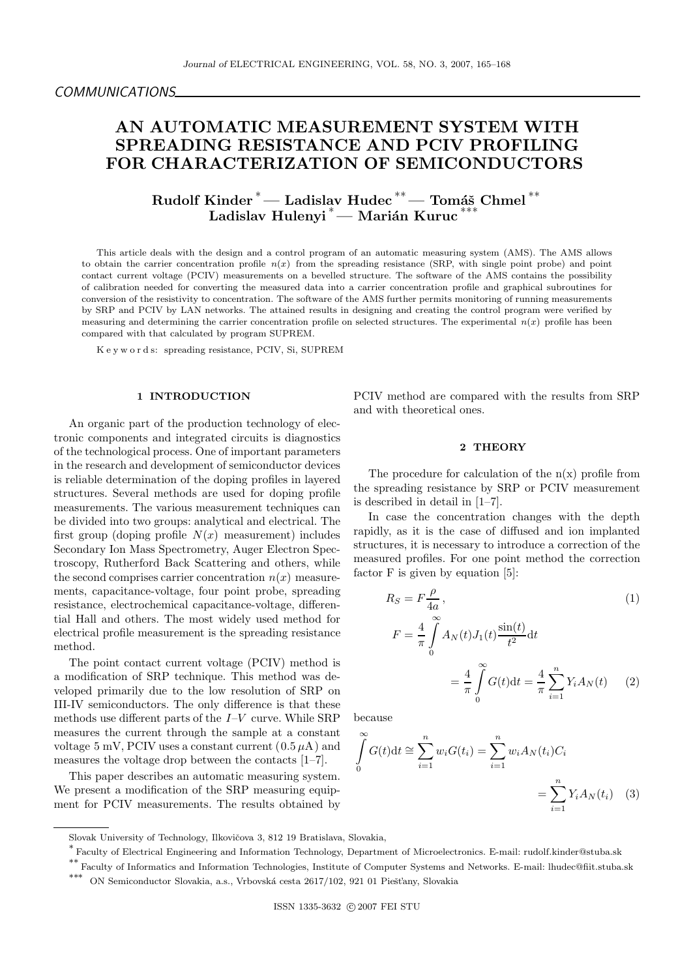# AN AUTOMATIC MEASUREMENT SYSTEM WITH SPREADING RESISTANCE AND PCIV PROFILING FOR CHARACTERIZATION OF SEMICONDUCTORS

Rudolf Kinder <sup>\*</sup>— Ladislav Hudec <sup>\*\*</sup>— Tomáš Chmel <sup>\*\*</sup> Ladislav Hulenyi<sup>\*</sup>— Marián Kuruc<sup>'</sup>

This article deals with the design and a control program of an automatic measuring system (AMS). The AMS allows to obtain the carrier concentration profile  $n(x)$  from the spreading resistance (SRP, with single point probe) and point contact current voltage (PCIV) measurements on a bevelled structure. The software of the AMS contains the possibility of calibration needed for converting the measured data into a carrier concentration profile and graphical subroutines for conversion of the resistivity to concentration. The software of the AMS further permits monitoring of running measurements by SRP and PCIV by LAN networks. The attained results in designing and creating the control program were verified by measuring and determining the carrier concentration profile on selected structures. The experimental  $n(x)$  profile has been compared with that calculated by program SUPREM.

K e y w o r d s: spreading resistance, PCIV, Si, SUPREM

# 1 INTRODUCTION

An organic part of the production technology of electronic components and integrated circuits is diagnostics of the technological process. One of important parameters in the research and development of semiconductor devices is reliable determination of the doping profiles in layered structures. Several methods are used for doping profile measurements. The various measurement techniques can be divided into two groups: analytical and electrical. The first group (doping profile  $N(x)$  measurement) includes Secondary Ion Mass Spectrometry, Auger Electron Spectroscopy, Rutherford Back Scattering and others, while the second comprises carrier concentration  $n(x)$  measurements, capacitance-voltage, four point probe, spreading resistance, electrochemical capacitance-voltage, differential Hall and others. The most widely used method for electrical profile measurement is the spreading resistance method.

The point contact current voltage (PCIV) method is a modification of SRP technique. This method was developed primarily due to the low resolution of SRP on III-IV semiconductors. The only difference is that these methods use different parts of the  $I-V$  curve. While SRP measures the current through the sample at a constant voltage 5 mV, PCIV uses a constant current  $(0.5 \mu A)$  and measures the voltage drop between the contacts [1–7].

This paper describes an automatic measuring system. We present a modification of the SRP measuring equipment for PCIV measurements. The results obtained by PCIV method are compared with the results from SRP and with theoretical ones.

#### 2 THEORY

The procedure for calculation of the  $n(x)$  profile from the spreading resistance by SRP or PCIV measurement is described in detail in [1–7].

In case the concentration changes with the depth rapidly, as it is the case of diffused and ion implanted structures, it is necessary to introduce a correction of the measured profiles. For one point method the correction factor F is given by equation [5]:

$$
R_S = F \frac{\rho}{4a}, \qquad (1)
$$
  

$$
F = \frac{4}{\pi} \int_0^\infty A_N(t) J_1(t) \frac{\sin(t)}{t^2} dt
$$
  

$$
= \frac{4}{\pi} \int_0^\infty G(t) dt = \frac{4}{\pi} \sum_{i=1}^n Y_i A_N(t) \quad (2)
$$

because

$$
\int_{0}^{\infty} G(t)dt \approx \sum_{i=1}^{n} w_i G(t_i) = \sum_{i=1}^{n} w_i A_N(t_i) C_i
$$

$$
= \sum_{i=1}^{n} Y_i A_N(t_i) \quad (3)
$$

Slovak University of Technology, Ilkovičova 3, 812 19 Bratislava, Slovakia,

<sup>∗</sup> Faculty of Electrical Engineering and Information Technology, Department of Microelectronics. E-mail: rudolf.kinder@stuba.sk

<sup>∗∗</sup> Faculty of Informatics and Information Technologies, Institute of Computer Systems and Networks. E-mail: lhudec@fiit.stuba.sk

 $\rm \ast**~$ ON Semiconductor Slovakia, a.s., Vrbovská cesta 2617/102, 921 01 Piešťany, Slovakia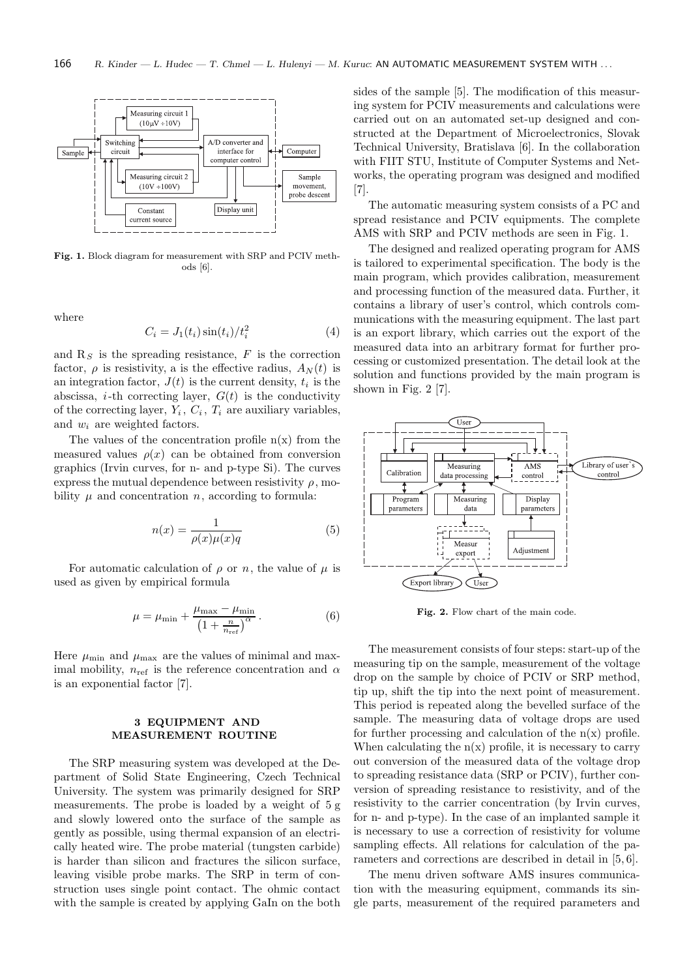

Fig. 1. Block diagram for measurement with SRP and PCIV methods [6].

where

$$
C_i = J_1(t_i)\sin(t_i)/t_i^2
$$
\n<sup>(4)</sup>

and  $R<sub>S</sub>$  is the spreading resistance, F is the correction factor,  $\rho$  is resistivity, a is the effective radius,  $A_N(t)$  is an integration factor,  $J(t)$  is the current density,  $t_i$  is the abscissa, *i*-th correcting layer,  $G(t)$  is the conductivity of the correcting layer,  $Y_i$ ,  $C_i$ ,  $T_i$  are auxiliary variables, and  $w_i$  are weighted factors.

The values of the concentration profile  $n(x)$  from the measured values  $\rho(x)$  can be obtained from conversion graphics (Irvin curves, for n- and p-type Si). The curves express the mutual dependence between resistivity  $\rho$ , mobility  $\mu$  and concentration n, according to formula:

$$
n(x) = \frac{1}{\rho(x)\mu(x)q} \tag{5}
$$

For automatic calculation of  $\rho$  or n, the value of  $\mu$  is used as given by empirical formula

$$
\mu = \mu_{\min} + \frac{\mu_{\max} - \mu_{\min}}{\left(1 + \frac{n}{n_{\text{ref}}}\right)^{\alpha}}.
$$
\n(6)

Here  $\mu_{\min}$  and  $\mu_{\max}$  are the values of minimal and maximal mobility,  $n_{ref}$  is the reference concentration and  $\alpha$ is an exponential factor [7].

## 3 EQUIPMENT AND MEASUREMENT ROUTINE

The SRP measuring system was developed at the Department of Solid State Engineering, Czech Technical University. The system was primarily designed for SRP measurements. The probe is loaded by a weight of 5 g and slowly lowered onto the surface of the sample as gently as possible, using thermal expansion of an electrically heated wire. The probe material (tungsten carbide) is harder than silicon and fractures the silicon surface, leaving visible probe marks. The SRP in term of construction uses single point contact. The ohmic contact with the sample is created by applying GaIn on the both sides of the sample [5]. The modification of this measuring system for PCIV measurements and calculations were carried out on an automated set-up designed and constructed at the Department of Microelectronics, Slovak Technical University, Bratislava [6]. In the collaboration with FIIT STU, Institute of Computer Systems and Networks, the operating program was designed and modified [7].

The automatic measuring system consists of a PC and spread resistance and PCIV equipments. The complete AMS with SRP and PCIV methods are seen in Fig. 1.

The designed and realized operating program for AMS is tailored to experimental specification. The body is the main program, which provides calibration, measurement and processing function of the measured data. Further, it contains a library of user's control, which controls communications with the measuring equipment. The last part is an export library, which carries out the export of the measured data into an arbitrary format for further processing or customized presentation. The detail look at the solution and functions provided by the main program is shown in Fig. 2 [7].



Fig. 2. Flow chart of the main code.

The measurement consists of four steps: start-up of the measuring tip on the sample, measurement of the voltage drop on the sample by choice of PCIV or SRP method, tip up, shift the tip into the next point of measurement. This period is repeated along the bevelled surface of the sample. The measuring data of voltage drops are used for further processing and calculation of the  $n(x)$  profile. When calculating the  $n(x)$  profile, it is necessary to carry out conversion of the measured data of the voltage drop to spreading resistance data (SRP or PCIV), further conversion of spreading resistance to resistivity, and of the resistivity to the carrier concentration (by Irvin curves, for n- and p-type). In the case of an implanted sample it is necessary to use a correction of resistivity for volume sampling effects. All relations for calculation of the parameters and corrections are described in detail in [5, 6].

The menu driven software AMS insures communication with the measuring equipment, commands its single parts, measurement of the required parameters and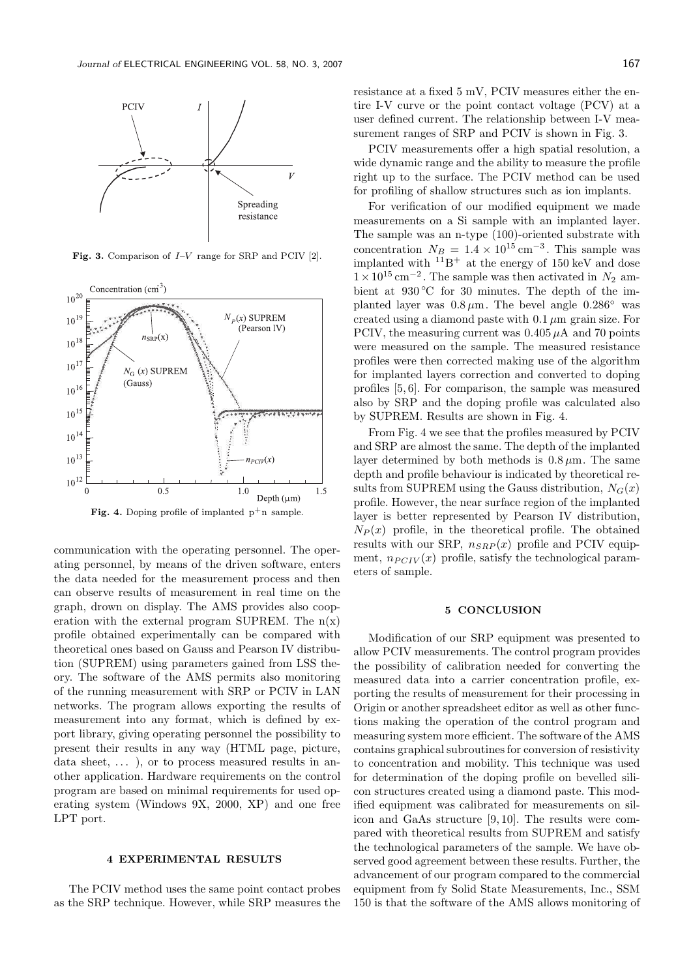

Fig. 3. Comparison of  $I-V$  range for SRP and PCIV [2].



Fig. 4. Doping profile of implanted  $p^+$ n sample.

communication with the operating personnel. The operating personnel, by means of the driven software, enters the data needed for the measurement process and then can observe results of measurement in real time on the graph, drown on display. The AMS provides also cooperation with the external program SUPREM. The  $n(x)$ profile obtained experimentally can be compared with theoretical ones based on Gauss and Pearson IV distribution (SUPREM) using parameters gained from LSS theory. The software of the AMS permits also monitoring of the running measurement with SRP or PCIV in LAN networks. The program allows exporting the results of measurement into any format, which is defined by export library, giving operating personnel the possibility to present their results in any way (HTML page, picture, data sheet,  $\dots$  ), or to process measured results in another application. Hardware requirements on the control program are based on minimal requirements for used operating system (Windows 9X, 2000, XP) and one free LPT port.

## 4 EXPERIMENTAL RESULTS

The PCIV method uses the same point contact probes as the SRP technique. However, while SRP measures the resistance at a fixed 5 mV, PCIV measures either the entire I-V curve or the point contact voltage (PCV) at a user defined current. The relationship between I-V measurement ranges of SRP and PCIV is shown in Fig. 3.

PCIV measurements offer a high spatial resolution, a wide dynamic range and the ability to measure the profile right up to the surface. The PCIV method can be used for profiling of shallow structures such as ion implants.

For verification of our modified equipment we made measurements on a Si sample with an implanted layer. The sample was an n-type (100)-oriented substrate with concentration  $N_B = 1.4 \times 10^{15} \text{ cm}^{-3}$ . This sample was implanted with  $^{11}B^+$  at the energy of 150 keV and dose  $1 \times 10^{15}$  cm<sup>-2</sup>. The sample was then activated in  $N_2$  ambient at 930 ℃ for 30 minutes. The depth of the implanted layer was  $0.8 \mu$ m. The bevel angle  $0.286°$  was created using a diamond paste with  $0.1 \mu m$  grain size. For PCIV, the measuring current was  $0.405 \mu A$  and 70 points were measured on the sample. The measured resistance profiles were then corrected making use of the algorithm for implanted layers correction and converted to doping profiles [5, 6]. For comparison, the sample was measured also by SRP and the doping profile was calculated also by SUPREM. Results are shown in Fig. 4.

From Fig. 4 we see that the profiles measured by PCIV and SRP are almost the same. The depth of the implanted layer determined by both methods is  $0.8 \mu$ m. The same depth and profile behaviour is indicated by theoretical results from SUPREM using the Gauss distribution,  $N_G(x)$ profile. However, the near surface region of the implanted layer is better represented by Pearson IV distribution,  $N_P(x)$  profile, in the theoretical profile. The obtained results with our SRP,  $n_{SRP}(x)$  profile and PCIV equipment,  $n_{PCIV}(x)$  profile, satisfy the technological parameters of sample.

#### 5 CONCLUSION

Modification of our SRP equipment was presented to allow PCIV measurements. The control program provides the possibility of calibration needed for converting the measured data into a carrier concentration profile, exporting the results of measurement for their processing in Origin or another spreadsheet editor as well as other functions making the operation of the control program and measuring system more efficient. The software of the AMS contains graphical subroutines for conversion of resistivity to concentration and mobility. This technique was used for determination of the doping profile on bevelled silicon structures created using a diamond paste. This modified equipment was calibrated for measurements on silicon and GaAs structure [9, 10]. The results were compared with theoretical results from SUPREM and satisfy the technological parameters of the sample. We have observed good agreement between these results. Further, the advancement of our program compared to the commercial equipment from fy Solid State Measurements, Inc., SSM 150 is that the software of the AMS allows monitoring of